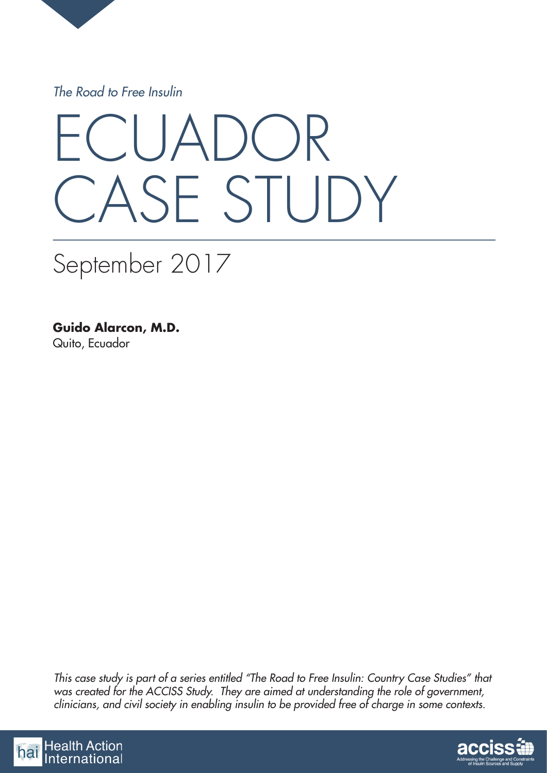

*The Road to Free Insulin*

# UADO CASE STUDY

# September 2017

**Guido Alarcon, M.D.** Quito, Ecuador

*This case study is part of a series entitled "The Road to Free Insulin: Country Case Studies" that*  was created for the ACCISS Study. They are aimed at understanding the role of government, *clinicians, and civil society in enabling insulin to be provided free of charge in some contexts.*



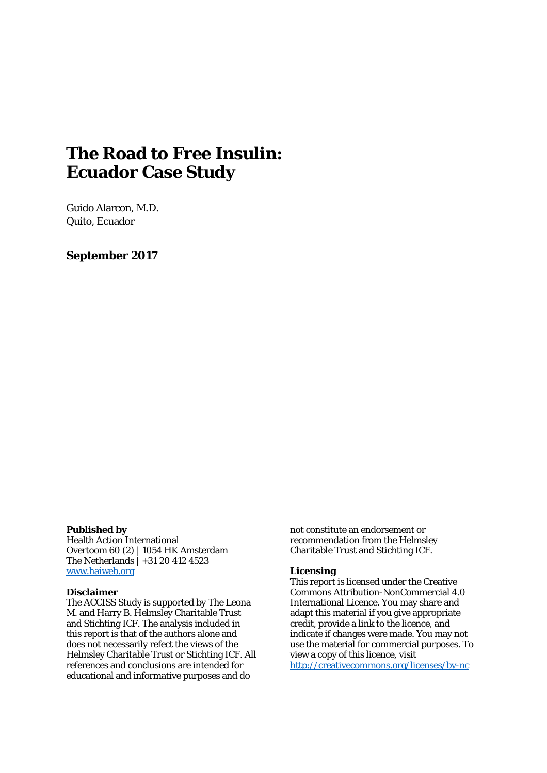# **The Road to Free Insulin: Ecuador Case Study**

Guido Alarcon, M.D. Quito, Ecuador

**September 2017**

#### **Published by**

Health Action International Overtoom 60 (2) | 1054 HK Amsterdam The Netherlands | +31 20 412 4523 [www.haiweb.org](http://www.haiweb.org/)

#### **Disclaimer**

The ACCISS Study is supported by The Leona M. and Harry B. Helmsley Charitable Trust and Stichting ICF. The analysis included in this report is that of the authors alone and does not necessarily refect the views of the Helmsley Charitable Trust or Stichting ICF. All references and conclusions are intended for educational and informative purposes and do

not constitute an endorsement or recommendation from the Helmsley Charitable Trust and Stichting ICF.

#### **Licensing**

This report is licensed under the Creative Commons Attribution-NonCommercial 4.0 International Licence. You may share and adapt this material if you give appropriate credit, provide a link to the licence, and indicate if changes were made. You may not use the material for commercial purposes. To view a copy of this licence, visit <http://creativecommons.org/licenses/by-nc>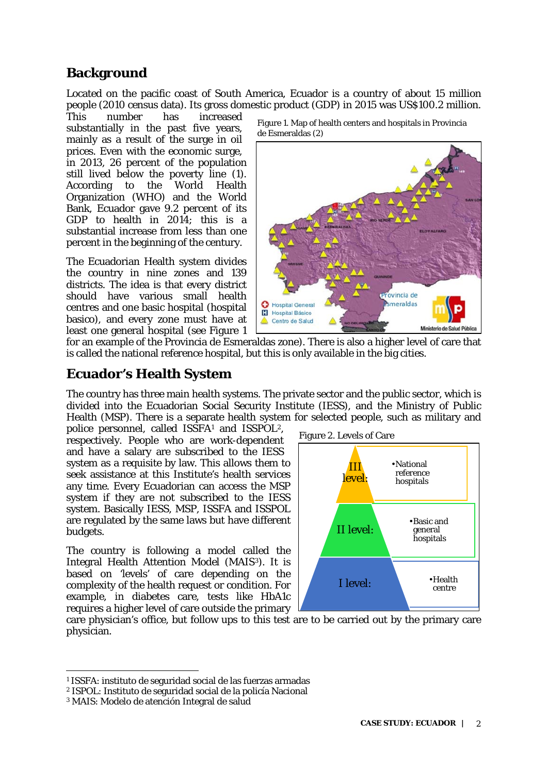## **Background**

Located on the pacific coast of South America, Ecuador is a country of about 15 million people (2010 census data). Its gross domestic product (GDP) in 2015 was US\$100.2 million.

increased substantially in the past five years, mainly as a result of the surge in oil prices. Even with the economic surge, in 2013, 26 percent of the population still lived below the poverty line (1).<br>According to the World Health World Health Organization (WHO) and the World Bank, Ecuador gave 9.2 percent of its GDP to health in 2014; this is a substantial increase from less than one percent in the beginning of the century.

The Ecuadorian Health system divides the country in nine zones and 139 districts. The idea is that every district should have various small health centres and one basic hospital (hospital basico), and every zone must have at least one general hospital (see Figure 1



Figure 1. Map of health centers and hospitals in Provincia de Esmeraldas (2)

for an example of the Provincia de Esmeraldas zone). There is also a higher level of care that is called the national reference hospital, but this is only available in the big cities.

#### **Ecuador's Health System**

The country has three main health systems. The private sector and the public sector, which is divided into the Ecuadorian Social Security Institute (IESS), and the Ministry of Public Health (MSP). There is a separate health system for selected people, such as military and

police personnel, called ISSFA[1](#page-2-0) and ISSPOL[2,](#page-2-1) respectively. People who are work-dependent and have a salary are subscribed to the IESS system as a requisite by law. This allows them to seek assistance at this Institute's health services any time. Every Ecuadorian can access the MSP system if they are not subscribed to the IESS system. Basically IESS, MSP, ISSFA and ISSPOL are regulated by the same laws but have different budgets.

The country is following a model called the Integral Health Attention Model (MAIS[3\)](#page-2-2). It is based on 'levels' of care depending on the complexity of the health request or condition. For example, in diabetes care, tests like HbA1c requires a higher level of care outside the primary



care physician's office, but follow ups to this test are to be carried out by the primary care physician.

<span id="page-2-0"></span><sup>1</sup> ISSFA: instituto de seguridad social de las fuerzas armadas

<span id="page-2-1"></span><sup>2</sup> ISPOL: Instituto de seguridad social de la policía Nacional

<span id="page-2-2"></span><sup>3</sup> MAIS: Modelo de atención Integral de salud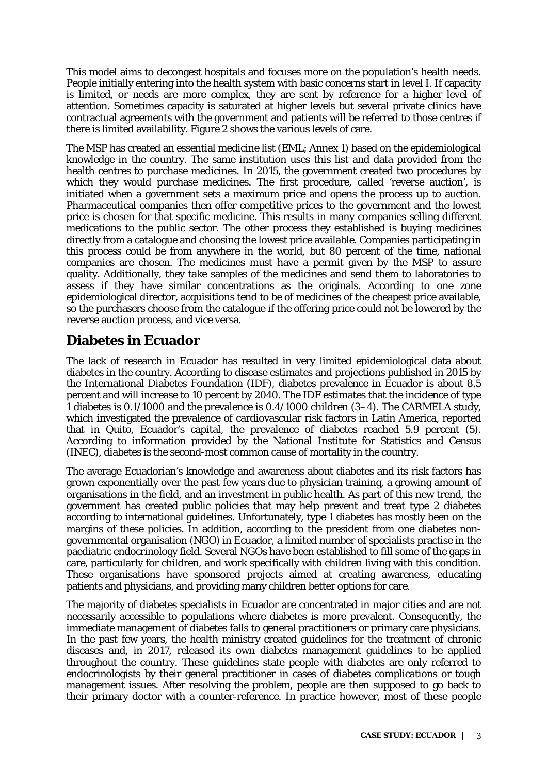This model aims to decongest hospitals and focuses more on the population's health needs. People initially entering into the health system with basic concerns start in level I. If capacity is limited, or needs are more complex, they are sent by reference for a higher level of attention. Sometimes capacity is saturated at higher levels but several private clinics have contractual agreements with the government and patients will be referred to those centres if there is limited availability. Figure 2 shows the various levels of care.

The MSP has created an essential medicine list (EML; Annex 1) based on the epidemiological knowledge in the country. The same institution uses this list and data provided from the health centres to purchase medicines. In 2015, the government created two procedures by which they would purchase medicines. The first procedure, called 'reverse auction', is initiated when a government sets a maximum price and opens the process up to auction. Pharmaceutical companies then offer competitive prices to the government and the lowest price is chosen for that specific medicine. This results in many companies selling different medications to the public sector. The other process they established is buying medicines directly from a catalogue and choosing the lowest price available. Companies participating in this process could be from anywhere in the world, but 80 percent of the time, national companies are chosen. The medicines must have a permit given by the MSP to assure quality. Additionally, they take samples of the medicines and send them to laboratories to assess if they have similar concentrations as the originals. According to one zone epidemiological director, acquisitions tend to be of medicines of the cheapest price available, so the purchasers choose from the catalogue if the offering price could not be lowered by the reverse auction process, and vice versa.

## **Diabetes in Ecuador**

The lack of research in Ecuador has resulted in very limited epidemiological data about diabetes in the country. According to disease estimates and projections published in 2015 by the International Diabetes Foundation (IDF), diabetes prevalence in Ecuador is about 8.5 percent and will increase to 10 percent by 2040. The IDF estimates that the incidence of type 1 diabetes is 0.1/1000 and the prevalence is 0.4/1000 children (3–4). The CARMELA study, which investigated the prevalence of cardiovascular risk factors in Latin America, reported that in Quito, Ecuador's capital, the prevalence of diabetes reached 5.9 percent (5). According to information provided by the National Institute for Statistics and Census (INEC), diabetes is the second-most common cause of mortality in the country.

The average Ecuadorian's knowledge and awareness about diabetes and its risk factors has grown exponentially over the past few years due to physician training, a growing amount of organisations in the field, and an investment in public health. As part of this new trend, the government has created public policies that may help prevent and treat type 2 diabetes according to international guidelines. Unfortunately, type 1 diabetes has mostly been on the margins of these policies. In addition, according to the president from one diabetes nongovernmental organisation (NGO) in Ecuador, a limited number of specialists practise in the paediatric endocrinology field. Several NGOs have been established to fill some of the gaps in care, particularly for children, and work specifically with children living with this condition. These organisations have sponsored projects aimed at creating awareness, educating patients and physicians, and providing many children better options for care.

The majority of diabetes specialists in Ecuador are concentrated in major cities and are not necessarily accessible to populations where diabetes is more prevalent. Consequently, the immediate management of diabetes falls to general practitioners or primary care physicians. In the past few years, the health ministry created guidelines for the treatment of chronic diseases and, in 2017, released its own diabetes management guidelines to be applied throughout the country. These guidelines state people with diabetes are only referred to endocrinologists by their general practitioner in cases of diabetes complications or tough management issues. After resolving the problem, people are then supposed to go back to their primary doctor with a counter-reference. In practice however, most of these people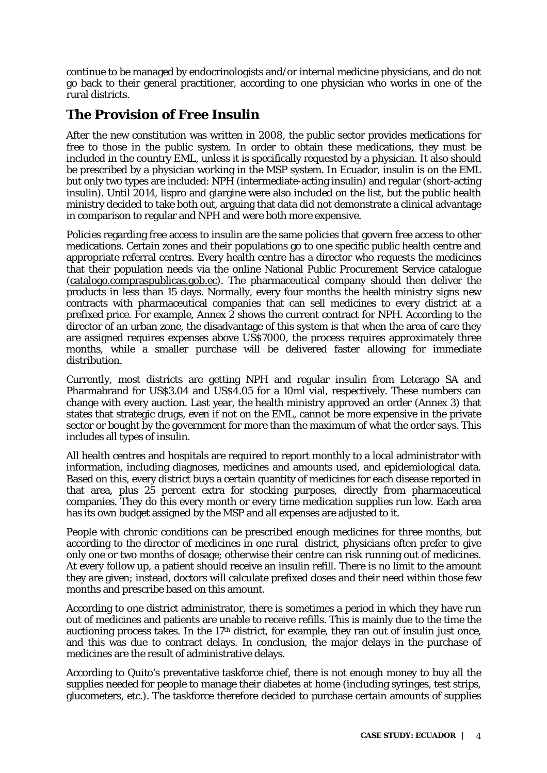continue to be managed by endocrinologists and/or internal medicine physicians, and do not go back to their general practitioner, according to one physician who works in one of the rural districts.

#### **The Provision of Free Insulin**

After the new constitution was written in 2008, the public sector provides medications for free to those in the public system. In order to obtain these medications, they must be included in the country EML, unless it is specifically requested by a physician. It also should be prescribed by a physician working in the MSP system. In Ecuador, insulin is on the EML but only two types are included: NPH (intermediate-acting insulin) and regular (short-acting insulin). Until 2014, lispro and glargine were also included on the list, but the public health ministry decided to take both out, arguing that data did not demonstrate a clinical advantage in comparison to regular and NPH and were both more expensive.

Policies regarding free access to insulin are the same policies that govern free access to other medications. Certain zones and their populations go to one specific public health centre and appropriate referral centres. Every health centre has a director who requests the medicines that their population needs via the online National Public Procurement Service catalogue [\(catalogo.compraspublicas.gob.ec\)](https://catalogo.compraspublicas.gob.ec/categoria/3). The pharmaceutical company should then deliver the products in less than 15 days. Normally, every four months the health ministry signs new contracts with pharmaceutical companies that can sell medicines to every district at a prefixed price. For example, Annex 2 shows the current contract for NPH. According to the director of an urban zone, the disadvantage of this system is that when the area of care they are assigned requires expenses above US\$7000, the process requires approximately three months, while a smaller purchase will be delivered faster allowing for immediate distribution.

Currently, most districts are getting NPH and regular insulin from Leterago SA and Pharmabrand for US\$3.04 and US\$4.05 for a 10ml vial, respectively. These numbers can change with every auction. Last year, the health ministry approved an order (Annex 3) that states that strategic drugs, even if not on the EML, cannot be more expensive in the private sector or bought by the government for more than the maximum of what the order says. This includes all types of insulin.

All health centres and hospitals are required to report monthly to a local administrator with information, including diagnoses, medicines and amounts used, and epidemiological data. Based on this, every district buys a certain quantity of medicines for each disease reported in that area, plus 25 percent extra for stocking purposes, directly from pharmaceutical companies. They do this every month or every time medication supplies run low. Each area has its own budget assigned by the MSP and all expenses are adjusted to it.

People with chronic conditions can be prescribed enough medicines for three months, but according to the director of medicines in one rural district, physicians often prefer to give only one or two months of dosage; otherwise their centre can risk running out of medicines. At every follow up, a patient should receive an insulin refill. There is no limit to the amount they are given; instead, doctors will calculate prefixed doses and their need within those few months and prescribe based on this amount.

According to one district administrator, there is sometimes a period in which they have run out of medicines and patients are unable to receive refills. This is mainly due to the time the auctioning process takes. In the  $17<sup>th</sup>$  district, for example, they ran out of insulin just once, and this was due to contract delays. In conclusion, the major delays in the purchase of medicines are the result of administrative delays.

According to Quito's preventative taskforce chief, there is not enough money to buy all the supplies needed for people to manage their diabetes at home (including syringes, test strips, glucometers, etc.). The taskforce therefore decided to purchase certain amounts of supplies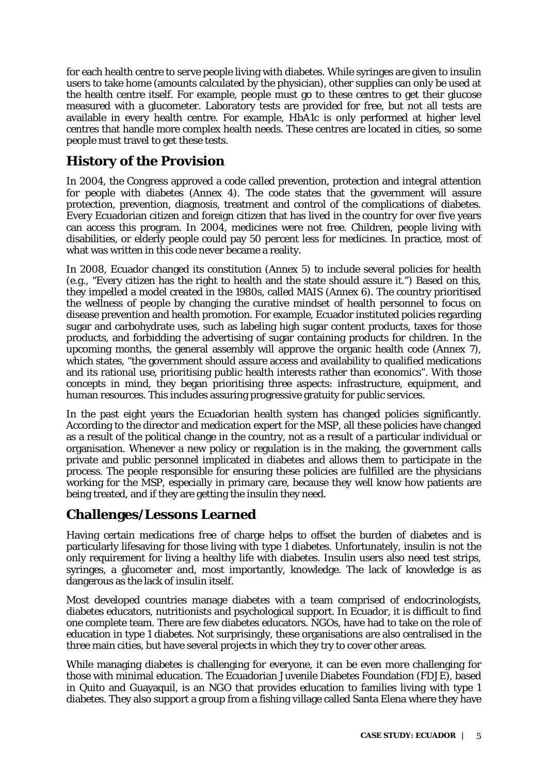for each health centre to serve people living with diabetes. While syringes are given to insulin users to take home (amounts calculated by the physician), other supplies can only be used at the health centre itself. For example, people must go to these centres to get their glucose measured with a glucometer. Laboratory tests are provided for free, but not all tests are available in every health centre. For example, HbA1c is only performed at higher level centres that handle more complex health needs. These centres are located in cities, so some people must travel to get these tests.

# **History of the Provision**

In 2004, the Congress approved a code called prevention, protection and integral attention for people with diabetes (Annex 4). The code states that the government will assure protection, prevention, diagnosis, treatment and control of the complications of diabetes. Every Ecuadorian citizen and foreign citizen that has lived in the country for over five years can access this program. In 2004, medicines were not free. Children, people living with disabilities, or elderly people could pay 50 percent less for medicines. In practice, most of what was written in this code never became a reality.

In 2008, Ecuador changed its constitution (Annex 5) to include several policies for health (e.g., "Every citizen has the right to health and the state should assure it.") Based on this, they impelled a model created in the 1980s, called MAIS (Annex 6). The country prioritised the wellness of people by changing the curative mindset of health personnel to focus on disease prevention and health promotion. For example, Ecuador instituted policies regarding sugar and carbohydrate uses, such as labeling high sugar content products, taxes for those products, and forbidding the advertising of sugar containing products for children. In the upcoming months, the general assembly will approve the organic health code (Annex 7), which states, "the government should assure access and availability to qualified medications and its rational use, prioritising public health interests rather than economics". With those concepts in mind, they began prioritising three aspects: infrastructure, equipment, and human resources. This includes assuring progressive gratuity for public services.

In the past eight years the Ecuadorian health system has changed policies significantly. According to the director and medication expert for the MSP, all these policies have changed as a result of the political change in the country, not as a result of a particular individual or organisation. Whenever a new policy or regulation is in the making, the government calls private and public personnel implicated in diabetes and allows them to participate in the process. The people responsible for ensuring these policies are fulfilled are the physicians working for the MSP, especially in primary care, because they well know how patients are being treated, and if they are getting the insulin they need.

#### **Challenges/Lessons Learned**

Having certain medications free of charge helps to offset the burden of diabetes and is particularly lifesaving for those living with type 1 diabetes. Unfortunately, insulin is not the only requirement for living a healthy life with diabetes. Insulin users also need test strips, syringes, a glucometer and, most importantly, knowledge. The lack of knowledge is as dangerous as the lack of insulin itself.

Most developed countries manage diabetes with a team comprised of endocrinologists, diabetes educators, nutritionists and psychological support. In Ecuador, it is difficult to find one complete team. There are few diabetes educators. NGOs, have had to take on the role of education in type 1 diabetes. Not surprisingly, these organisations are also centralised in the three main cities, but have several projects in which they try to cover other areas.

While managing diabetes is challenging for everyone, it can be even more challenging for those with minimal education. The Ecuadorian Juvenile Diabetes Foundation (FDJE), based in Quito and Guayaquil, is an NGO that provides education to families living with type 1 diabetes. They also support a group from a fishing village called Santa Elena where they have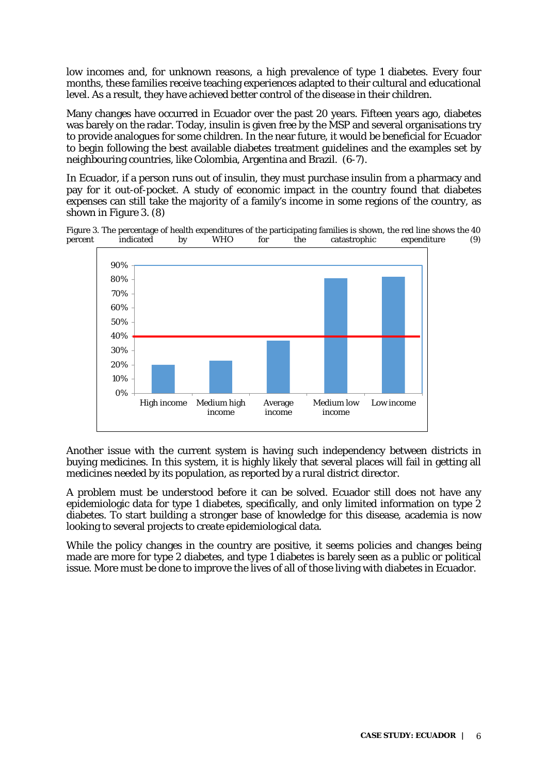low incomes and, for unknown reasons, a high prevalence of type 1 diabetes. Every four months, these families receive teaching experiences adapted to their cultural and educational level. As a result, they have achieved better control of the disease in their children.

Many changes have occurred in Ecuador over the past 20 years. Fifteen years ago, diabetes was barely on the radar. Today, insulin is given free by the MSP and several organisations try to provide analogues for some children. In the near future, it would be beneficial for Ecuador to begin following the best available diabetes treatment guidelines and the examples set by neighbouring countries, like Colombia, Argentina and Brazil. (6-7).

In Ecuador, if a person runs out of insulin, they must purchase insulin from a pharmacy and pay for it out-of-pocket. A study of economic impact in the country found that diabetes expenses can still take the majority of a family's income in some regions of the country, as shown in Figure 3. (8)

Figure 3. The percentage of health expenditures of the participating families is shown, the red line shows the 40 percent indicated by WHO for the catastrophic expenditure (9) percent indicated by WHO for the catastrophic expenditure (9)



Another issue with the current system is having such independency between districts in buying medicines. In this system, it is highly likely that several places will fail in getting all medicines needed by its population, as reported by a rural district director.

A problem must be understood before it can be solved. Ecuador still does not have any epidemiologic data for type 1 diabetes, specifically, and only limited information on type 2 diabetes. To start building a stronger base of knowledge for this disease, academia is now looking to several projects to create epidemiological data.

While the policy changes in the country are positive, it seems policies and changes being made are more for type 2 diabetes, and type 1 diabetes is barely seen as a public or political issue. More must be done to improve the lives of all of those living with diabetes in Ecuador.